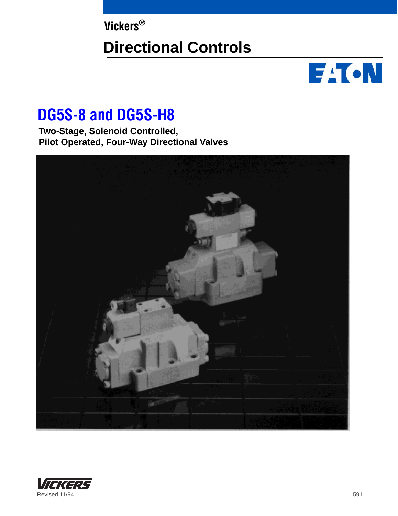**Vickers®**

# **Directional Controls**



# **DG5S-8 and DG5S-H8**

**Two-Stage, Solenoid Controlled, Pilot Operated, Four-Way Directional Valves**



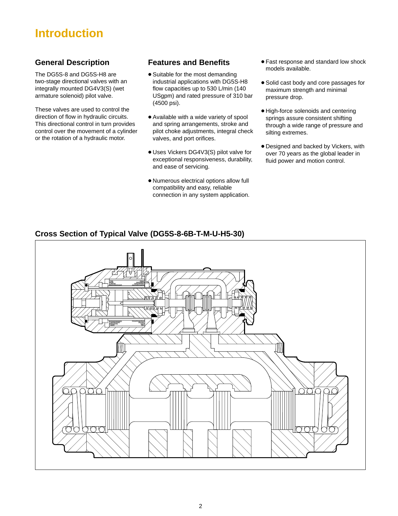# **Introduction**

# **General Description**

The DG5S-8 and DG5S-H8 are two-stage directional valves with an integrally mounted DG4V3(S) (wet armature solenoid) pilot valve.

These valves are used to control the direction of flow in hydraulic circuits. This directional control in turn provides control over the movement of a cylinder or the rotation of a hydraulic motor.

# **Features and Benefits**

- Suitable for the most demanding industrial applications with DG5S-H8 flow capacities up to 530 L/min (140 USgpm) and rated pressure of 310 bar (4500 psi).
- Available with a wide variety of spool and spring arrangements, stroke and pilot choke adjustments, integral check valves, and port orifices.
- Uses Vickers DG4V3(S) pilot valve for exceptional responsiveness, durability, and ease of servicing.
- Numerous electrical options allow full compatibility and easy, reliable connection in any system application.
- Fast response and standard low shock models available.
- Solid cast body and core passages for maximum strength and minimal pressure drop.
- High-force solenoids and centering springs assure consistent shifting through a wide range of pressure and silting extremes.
- Designed and backed by Vickers, with over 70 years as the global leader in fluid power and motion control.

# **Cross Section of Typical Valve (DG5S-8-6B-T-M-U-H5-30)**

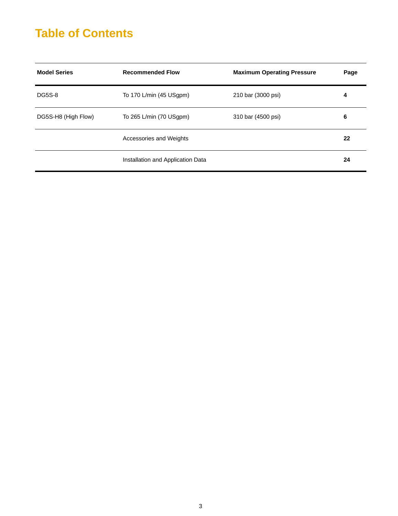# **Table of Contents**

| <b>Model Series</b> | <b>Recommended Flow</b>           | <b>Maximum Operating Pressure</b> | Page |
|---------------------|-----------------------------------|-----------------------------------|------|
| <b>DG5S-8</b>       | To 170 L/min (45 USgpm)           | 210 bar (3000 psi)                | 4    |
| DG5S-H8 (High Flow) | To 265 L/min (70 USgpm)           | 310 bar (4500 psi)                | 6    |
|                     | Accessories and Weights           |                                   | 22   |
|                     | Installation and Application Data |                                   | 24   |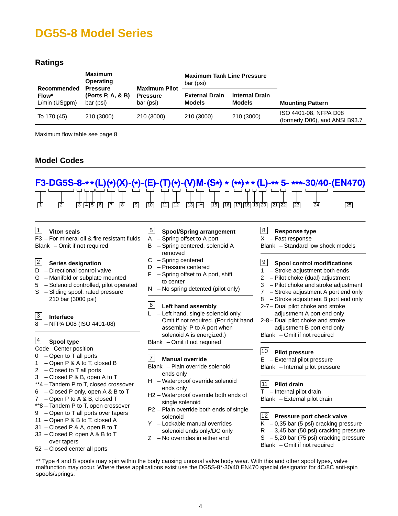# <span id="page-3-0"></span>**Ratings**

| Recommended            | <b>Maximum</b><br><b>Operating</b><br><b>Pressure</b> |                                                      | <b>Maximum Tank Line Pressure</b><br>bar (psi) |                                        |                                                         |
|------------------------|-------------------------------------------------------|------------------------------------------------------|------------------------------------------------|----------------------------------------|---------------------------------------------------------|
| Flow*<br>L/min (USgpm) | (Ports P, A, & B)<br>bar (psi)                        | <b>Maximum Pilot</b><br><b>Pressure</b><br>bar (psi) | <b>External Drain</b><br><b>Models</b>         | <b>Internal Drain</b><br><b>Models</b> | <b>Mounting Pattern</b>                                 |
| To 170 (45)            | 210 (3000)                                            | 210 (3000)                                           | 210 (3000)                                     | 210 (3000)                             | ISO 4401-08, NFPA D08<br>(formerly D06), and ANSI B93.7 |

Maximum flow table see page 8

# **Model Codes**



#### **Viton seals**  $|1|$

F3 – For mineral oil & fire resistant fluids Blank – Omit if not required

#### **Series designation** 2

- D Directional control valve
- G Manifold or subplate mounted
- 5 Solenoid controlled, pilot operated S – Sliding spool, rated pressure
	- 210 bar (3000 psi)

#### **Interface** 3

8 – NFPA D08 (ISO 4401-08)

#### **Spool type**  $|4|$

- Code Center position
- 0 Open to T all ports
- 1 Open P & A to T, closed B
- 2 Closed to T all ports
- 3 Closed P & B, open A to T
- \*\*4 Tandem P to T, closed crossover
- 6 Closed P only, open A & B to T
- 7 Open P to A & B, closed T
- \*\*8 Tandem P to T, open crossover
- 9 Open to T all ports over tapers
- 11 Open P & B to T, closed A
- 31 Closed P & A, open B to T
- 33 Closed P, open A & B to T over tapers
- 52 Closed center all ports

#### **Spool/Spring arrangement** 5

- A Spring offset to A port
- B Spring centered, solenoid A removed
- C Spring centered
- D Pressure centered
- $F -$  Spring offset to A port, shift to center
- $N No$  spring detented (pilot only)

#### **Left hand assembly**  $\boxed{6}$

L – Left hand, single solenoid only. Omit if not required. (For right hand assembly, P to A port when solenoid A is energized.) Blank – Omit if not required

#### **Manual override** 7

- Blank Plain override solenoid ends only
- H Waterproof override solenoid ends only
- H2 Waterproof override both ends of single solenoid
- P2 Plain override both ends of single solenoid
- Y Lockable manual overrides solenoid ends only/DC only
- Z No overrides in either end

#### **Response type** 8

– Fast response

Blank – Standard low shock models

#### **Spool control modifications**  $|9|$

- 1 Stroke adjustment both ends
- 2 Pilot choke (dual) adjustment
- 3 Pilot choke and stroke adjustment
- 7 Stroke adjustment A port end only
- 8 Stroke adjustment B port end only
- 2-7 Dual pilot choke and stroke
- adjustment A port end only 2-8 – Dual pilot choke and stroke adjustment B port end only

Blank – Omit if not required

## **Pilot pressure** 10

E – External pilot pressure

Blank – Internal pilot pressure

#### **Pilot drain** 11

- Internal pilot drain Blank – External pilot drain

#### **Pressure port check valve** 12

 $K - 0.35$  bar (5 psi) cracking pressure  $R - 3,45$  bar (50 psi) cracking pressure S – 5,20 bar (75 psi) cracking pressure Blank – Omit if not required

\*\* Type 4 and 8 spools may spin within the body causing unusual valve body wear. With this and other spool types, valve malfunction may occur. Where these applications exist use the DG5S-8\*-30/40 EN470 special designator for 4C/8C anti-spin spools/springs.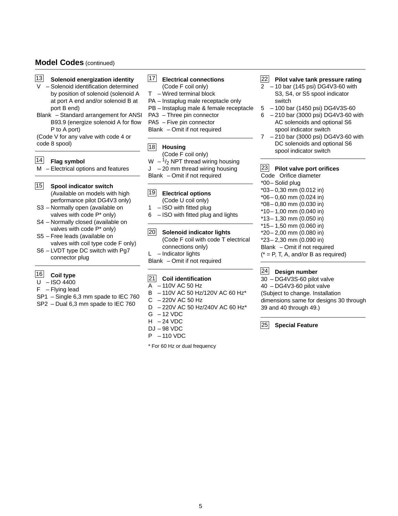# **Model Codes** (continued)

- **Solenoid energization identity** 13
- V Solenoid identification determined by position of solenoid (solenoid A at port A end and/or solenoid B at port B end)
- Blank Standard arrangement for ANSI B93.9 (energize solenoid A for flow P to A port)

(Code V for any valve with code 4 or code 8 spool)

#### **Flag symbol**  $|14|$

M – Electrical options and features

- 15 Spool indicator switch (Available on models with high performance pilot DG4V3 only)
- S3 Normally open (available on valves with code P\* only)
- S4 Normally closed (available on valves with code P\* only)
- S5 Free leads (available on valves with coil type code F only)
- S6 LVDT type DC switch with Pg7 connector plug

# 16 Coil type

- $U ISO 4400$
- $F Flying lead$
- SP1 Single 6,3 mm spade to IEC 760
- SP2 Dual 6,3 mm spade to IEC 760

### **Electrical connections** 17

- (Code F coil only)
- T Wired terminal block
- PA Instaplug male receptacle only
- PB Instaplug male & female receptacle
- PA3 Three pin connector
- PA5 Five pin connector
- Blank Omit if not required

### **Housing** 18

- (Code F coil only)
- W  $-$ <sup>1</sup>/<sub>2</sub> NPT thread wiring housing
- J 20 mm thread wiring housing
- Blank Omit if not required

#### **Electrical options** (Code U coil only) 19

- 1 ISO with fitted plug
- $6 ISO$  with fitted plug and lights

#### **Solenoid indicator lights** 20

- (Code F coil with code T electrical connections only)
- $L$  Indicator lights
- Blank Omit if not required

### **Coil identification** 21

- A 110V AC 50 Hz
- B 110V AC 50 Hz/120V AC 60 Hz\*
- C 220V AC 50 Hz
- D 220V AC 50 Hz/240V AC 60 Hz\*
- $G 12$  VDC
- $H 24$  VDC
- DJ 98 VDC
- P 110 VDC

\* For 60 Hz or dual frequency

#### **Pilot valve tank pressure rating** 22

- 2 10 bar (145 psi) DG4V3-60 with S3, S4, or S5 spool indicator switch
- 5 100 bar (1450 psi) DG4V3S-60
- 6 210 bar (3000 psi) DG4V3-60 with AC solenoids and optional S6 spool indicator switch
- 7 210 bar (3000 psi) DG4V3-60 with DC solenoids and optional S6 spool indicator switch

### **Pilot valve port orifices** 23

Code Orifice diameter \*00– Solid plug \*03– 0,30 mm (0.012 in) \*06– 0,60 mm (0.024 in) \*08– 0,80 mm (0.030 in) \*10– 1,00 mm (0.040 in) \*13– 1,30 mm (0.050 in) \*15– 1,50 mm (0.060 in) \*20– 2,00 mm (0.080 in) \*23– 2,30 mm (0.090 in) Blank – Omit if not required  $(* = P, T, A, and/or B as required)$ 

#### **Design number** 24

30 – DG4V3S-60 pilot valve 40 – DG4V3-60 pilot valve (Subject to change. Installation dimensions same for designs 30 through 39 and 40 through 49.)

**Special Feature** 25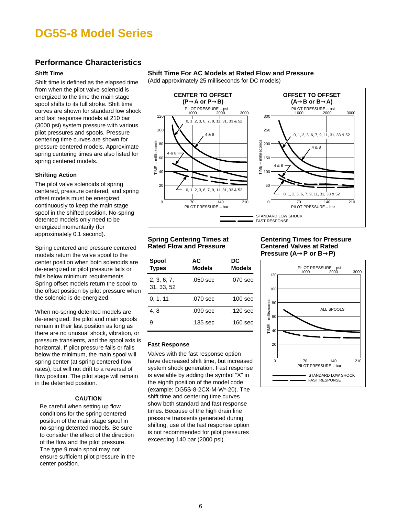# **Performance Characteristics**

## **Shift Time**

Shift time is defined as the elapsed time from when the pilot valve solenoid is energized to the time the main stage spool shifts to its full stroke. Shift time curves are shown for standard low shock and fast response models at 210 bar (3000 psi) system pressure with various pilot pressures and spools. Pressure centering time curves are shown for pressure centered models. Approximate spring centering times are also listed for spring centered models.

## **Shifting Action**

The pilot valve solenoids of spring centered, pressure centered, and spring offset models must be energized continuously to keep the main stage spool in the shifted position. No-spring detented models only need to be energized momentarily (for approximately 0.1 second).

Spring centered and pressure centered models return the valve spool to the center position when both solenoids are de-energized or pilot pressure fails or falls below minimum requirements. Spring offset models return the spool to the offset position by pilot pressure when the solenoid is de-energized.

When no-spring detented models are de-energized, the pilot and main spools remain in their last position as long as there are no unusual shock, vibration, or pressure transients, and the spool axis is horizontal. If pilot pressure fails or falls below the minimum, the main spool will spring center (at spring centered flow rates), but will not drift to a reversal of flow position. The pilot stage will remain in the detented position.

## **CAUTION**

Be careful when setting up flow conditions for the spring centered position of the main stage spool in no-spring detented models. Be sure to consider the effect of the direction of the flow and the pilot pressure. The type 9 main spool may not ensure sufficient pilot pressure in the center position.

## **Shift Time For AC Models at Rated Flow and Pressure**

(Add approximately 25 milliseconds for DC models)



### **Spring Centering Times at Rated Flow and Pressure**

| <b>Spool</b><br><b>Types</b> | АC<br>Models | DC<br><b>Models</b> |
|------------------------------|--------------|---------------------|
| 2, 3, 6, 7,<br>31, 33, 52    | .050 sec     | .070 sec            |
| 0, 1, 11                     | .070 sec     | .100 sec            |
| 4.8                          | .090 sec     | .120 sec            |
| я                            | .135 sec     | .160 sec            |

### **Fast Response**

Valves with the fast response option have decreased shift time, but increased system shock generation. Fast response is available by adding the symbol "X" in the eighth position of the model code (example: DG5S-8-2C**X**-M-W\*-20). The shift time and centering time curves show both standard and fast response times. Because of the high drain line pressure transients generated during shifting, use of the fast response option is not recommended for pilot pressures exceeding 140 bar (2000 psi).

### **Centering Times for Pressure Centered Valves at Rated Pressure (A**→**P or B**→**P)**

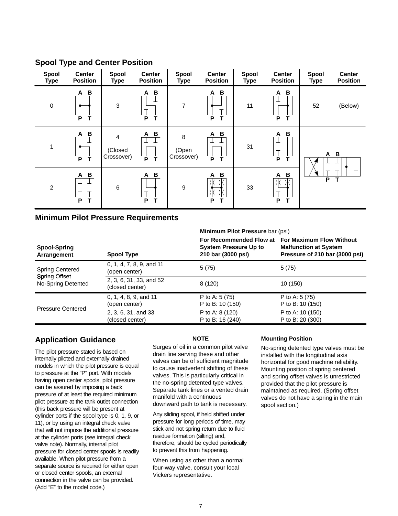| Spool<br><b>Type</b> | <b>Center</b><br><b>Position</b>      | Spool<br><b>Type</b>                    | <b>Center</b><br><b>Position</b> | Spool<br><b>Type</b>     | <b>Center</b><br><b>Position</b> | Spool<br><b>Type</b> | <b>Center</b><br><b>Position</b>             | Spool<br><b>Type</b> | <b>Center</b><br><b>Position</b> |
|----------------------|---------------------------------------|-----------------------------------------|----------------------------------|--------------------------|----------------------------------|----------------------|----------------------------------------------|----------------------|----------------------------------|
| $\mathbf 0$          | B<br>A<br>P<br>T                      | 3                                       | B<br>A<br>P<br>Т                 | 7                        | B<br>A<br>P<br>т                 | 11                   | B<br>A<br>ᆠ<br>т<br>P                        | 52                   | (Below)                          |
| 1                    | $\, {\bf B}$<br>A<br>ᅩ<br>P<br>T      | $\overline{a}$<br>(Closed<br>Crossover) | B<br>A<br>$\overline{P}$<br>T    | 8<br>(Open<br>Crossover) | B<br>Α<br>P<br>т                 | 31                   | B<br>A<br>ᆠ<br>$\mathbf \tau$<br>P<br>т      | A                    | B                                |
| $\overline{c}$       | $\, {\bf B}$<br>A<br>┷<br>ᅩ<br>P<br>т | $\,6\,$                                 | B<br>Α<br>P<br>т                 | $\boldsymbol{9}$         | B<br>Α<br>Ж<br>P                 | 33                   | $\, {\bf B}$<br>A<br>$\mathcal{K}$<br>т<br>P | P                    | $\mathbf T$                      |

# **Spool Type and Center Position**

# **Minimum Pilot Pressure Requirements**

|                                            |                                            | Minimum Pilot Pressure bar (psi)                                              |                                                                                                   |  |  |
|--------------------------------------------|--------------------------------------------|-------------------------------------------------------------------------------|---------------------------------------------------------------------------------------------------|--|--|
| Spool-Spring<br>Arrangement                | Spool Type                                 | For Recommended Flow at<br><b>System Pressure Up to</b><br>210 bar (3000 psi) | <b>For Maximum Flow Without</b><br><b>Malfunction at System</b><br>Pressure of 210 bar (3000 psi) |  |  |
| <b>Spring Centered</b>                     | 0, 1, 4, 7, 8, 9, and 11<br>(open center)  | 5(75)                                                                         | 5(75)                                                                                             |  |  |
| <b>Spring Offset</b><br>No-Spring Detented | 2, 3, 6, 31, 33, and 52<br>(closed center) | 8(120)                                                                        | 10 (150)                                                                                          |  |  |
|                                            | 0, 1, 4, 8, 9, and 11                      | P to A: $5(75)$                                                               | P to A: $5(75)$                                                                                   |  |  |
| <b>Pressure Centered</b>                   | (open center)                              | P to B: 10 (150)                                                              | P to B: 10 (150)                                                                                  |  |  |
|                                            | 2, 3, 6, 31, and 33                        | P to A: 8 (120)                                                               | P to A: 10 (150)                                                                                  |  |  |
|                                            | (closed center)                            | P to B: 16 (240)                                                              | P to B: 20 (300)                                                                                  |  |  |

# **Application Guidance**

The pilot pressure stated is based on internally piloted and externally drained models in which the pilot pressure is equal to pressure at the "P" port. With models having open center spools, pilot pressure can be assured by imposing a back pressure of at least the required minimum pilot pressure at the tank outlet connection (this back pressure will be present at cylinder ports if the spool type is 0, 1, 9, or 11), or by using an integral check valve that will not impose the additional pressure at the cylinder ports (see integral check valve note). Normally, internal pilot pressure for closed center spools is readily available. When pilot pressure from a separate source is required for either open or closed center spools, an external connection in the valve can be provided. (Add "E" to the model code.)

# **NOTE**

Surges of oil in a common pilot valve drain line serving these and other valves can be of sufficient magnitude to cause inadvertent shifting of these valves. This is particularly critical in the no-spring detented type valves. Separate tank lines or a vented drain manifold with a continuous downward path to tank is necessary.

Any sliding spool, if held shifted under pressure for long periods of time, may stick and not spring return due to fluid residue formation (silting) and, therefore, should be cycled periodically to prevent this from happening.

When using as other than a normal four-way valve, consult your local Vickers representative.

## **Mounting Position**

No-spring detented type valves must be installed with the longitudinal axis horizontal for good machine reliability. Mounting position of spring centered and spring offset valves is unrestricted provided that the pilot pressure is maintained as required. (Spring offset valves do not have a spring in the main spool section.)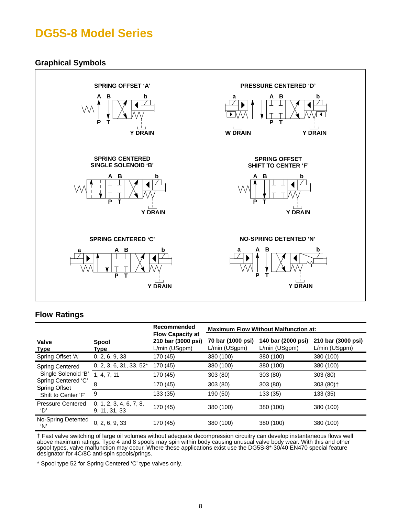# **Graphical Symbols**



# **Flow Ratings**

|                                             |                                          | Recommended<br><b>Flow Capacity at</b> | <b>Maximum Flow Without Malfunction at:</b> |                                     |                                     |  |
|---------------------------------------------|------------------------------------------|----------------------------------------|---------------------------------------------|-------------------------------------|-------------------------------------|--|
| <b>Valve</b><br><b>Type</b>                 | Spool<br>Type                            | 210 bar (3000 psi)<br>L/min (USgpm)    | 70 bar (1000 psi)<br>L/min (USgpm)          | 140 bar (2000 psi)<br>L/min (USgpm) | 210 bar (3000 psi)<br>L/min (USgpm) |  |
| Spring Offset 'A'                           | 0, 2, 6, 9, 33                           | 170 (45)                               | 380 (100)                                   | 380 (100)                           | 380 (100)                           |  |
| <b>Spring Centered</b>                      | $0, 2, 3, 6, 31, 33, 52*$                | 170 (45)                               | 380 (100)                                   | 380 (100)                           | 380 (100)                           |  |
| Single Solenoid 'B'                         | 1, 4, 7, 11                              | 170 (45)                               | 303(80)                                     | 303 (80)                            | 303(80)                             |  |
| Spring Centered 'C'<br><b>Spring Offset</b> | 8                                        | 170 (45)                               | 303(80)                                     | 303(80)                             | $303(80)$ <sup>+</sup>              |  |
| Shift to Center 'F'                         | 9                                        | 133 (35)                               | 190 (50)                                    | 133 (35)                            | 133 (35)                            |  |
| <b>Pressure Centered</b><br>'D'             | 0, 1, 2, 3, 4, 6, 7, 8,<br>9, 11, 31, 33 | 170 (45)                               | 380 (100)                                   | 380 (100)                           | 380 (100)                           |  |
| No-Spring Detented<br>ʻN'                   | 0, 2, 6, 9, 33                           | 170 (45)                               | 380 (100)                                   | 380 (100)                           | 380 (100)                           |  |

† Fast valve switching of large oil volumes without adequate decompression circuitry can develop instantaneous flows well above maximum ratings. Type 4 and 8 spools may spin within body causing unusual valve body wear. With this and other spool types, valve malfunction may occur. Where these applications exist use the DG5S-8\*-30/40 EN470 special feature designator for 4C/8C anti-spin spools/prings.

\* Spool type 52 for Spring Centered 'C' type valves only.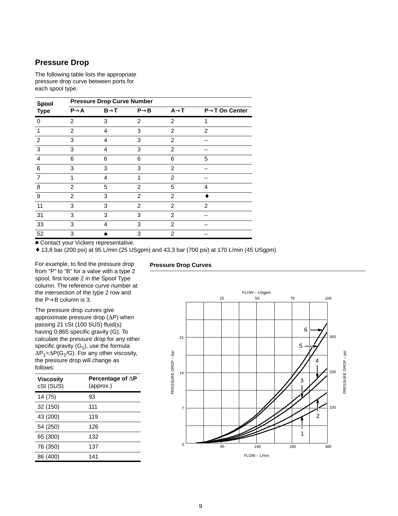# **Pressure Drop**

The following table lists the appropriate pressure drop curve between ports for each spool type.

| Spool          | <b>Pressure Drop Curve Number</b> |                  |                  |                   |                            |  |  |
|----------------|-----------------------------------|------------------|------------------|-------------------|----------------------------|--|--|
| <b>Type</b>    | $P\rightarrow A$                  | $B\rightarrow T$ | $P\rightarrow B$ | $A \rightarrow T$ | $P\rightarrow T$ On Center |  |  |
| 0              | $\overline{2}$                    | 3                | 2                | $\overline{2}$    |                            |  |  |
|                | $\overline{2}$                    | 4                | 3                | 2                 | $\overline{2}$             |  |  |
| $\overline{2}$ | 3                                 | 4                | 3                | $\overline{2}$    |                            |  |  |
| 3              | 3                                 | 4                | 3                | 2                 |                            |  |  |
| 4              | 6                                 | 6                | 6                | 6                 | 5                          |  |  |
| 6              | 3                                 | 3                | 3                | $\overline{2}$    |                            |  |  |
| 7              | 1                                 | 4                | 1                | 2                 |                            |  |  |
| 8              | $\overline{2}$                    | 5                | 2                | 5                 | 4                          |  |  |
| 9              | 2                                 | 3                | 2                | 2                 |                            |  |  |
| 11             | 3                                 | 3                | $\overline{2}$   | $\overline{2}$    | $\overline{2}$             |  |  |
| 31             | 3                                 | 3                | 3                | 2                 |                            |  |  |
| 33             | 3                                 | 4                | 3                | 2                 |                            |  |  |
| 52             | 3                                 |                  | 3                | 2                 |                            |  |  |

**Contact your Vickers representative.** 

♦ 13,8 bar (200 psi) at 95 L/min (25 USgpm) and 43,3 bar (700 psi) at 170 L/min (45 USgpm)

For example, to find the pressure drop from "P" to "B" for a valve with a type 2 spool, first locate 2 in the Spool Type column. The reference curve number at the intersection of the type 2 row and the P→B column is 3.

The pressure drop curves give approximate pressure drop  $(\Delta P)$  when passing 21 cSt (100 SUS) fluid(s) having 0.865 specific gravity (G). To calculate the pressure drop for any other specific gravity  $(G_1)$ , use the formula  $\Delta P_1 = \Delta P(G_1/G)$ . For any other viscosity, the pressure drop will change as follows:

| <b>Viscosity</b><br>cSt (SUS) | Percentage of $\Delta P$<br>(approx.) |
|-------------------------------|---------------------------------------|
| 14 (75)                       | 93                                    |
| 32 (150)                      | 111                                   |
| 43 (200)                      | 119                                   |
| 54 (250)                      | 126                                   |
| 65 (300)                      | 132                                   |
| 76 (350)                      | 137                                   |
| 86 (400)                      | 141                                   |

### **Pressure Drop Curves**

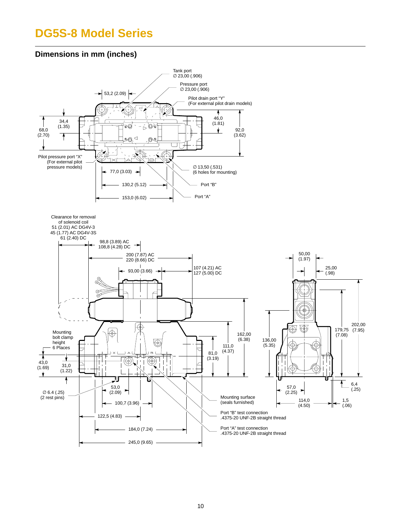# **Dimensions in mm (inches)**

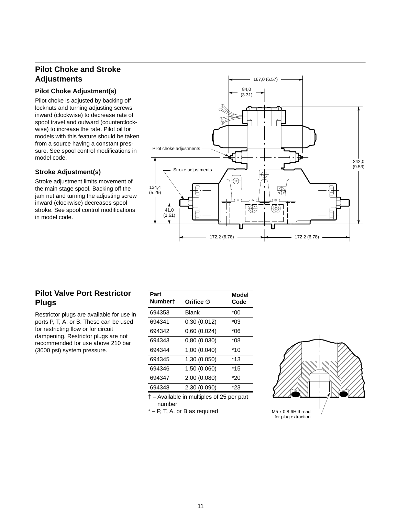# **Pilot Choke and Stroke Adjustments**

## **Pilot Choke Adjustment(s)**

Pilot choke is adjusted by backing off locknuts and turning adjusting screws inward (clockwise) to decrease rate of spool travel and outward (counterclockwise) to increase the rate. Pilot oil for models with this feature should be taken from a source having a constant pressure. See spool control modifications in model code.

# **Stroke Adjustment(s)**

Stroke adjustment limits movement of the main stage spool. Backing off the jam nut and turning the adjusting screw inward (clockwise) decreases spool stroke. See spool control modifications in model code.



# **Pilot Valve Port Restrictor Plugs**

Restrictor plugs are available for use in ports P, T, A, or B. These can be used for restricting flow or for circuit dampening. Restrictor plugs are not recommended for use above 210 bar (3000 psi) system pressure.

| Part    |                       | Model |
|---------|-----------------------|-------|
| Number† | Orifice $\varnothing$ | Code  |
| 694353  | Blank                 | *00   |
| 694341  | 0,30 (0.012)          | *በ3   |
| 694342  | 0,60 (0.024)          | *06   |
| 694343  | 0,80 (0.030)          | *08   |
| 694344  | 1,00 (0.040)          | *10   |
| 694345  | 1,30 (0.050)          | *13   |
| 694346  | 1,50 (0.060)          | $*15$ |
| 694347  | 2,00 (0.080)          | *20   |
| 694348  | 2,30 (0.090)          | *23   |

 – Available in multiples of 25 per part number

\* – P, T, A, or B as required

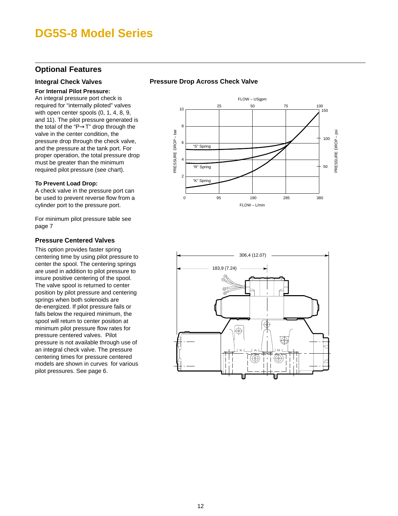# **Optional Features**

## **Integral Check Valves**

### **For Internal Pilot Pressure:**

An integral pressure port check is required for "internally piloted" valves with open center spools (0, 1, 4, 8, 9, and 11). The pilot pressure generated is the total of the "P→T" drop through the valve in the center condition, the pressure drop through the check valve, and the pressure at the tank port. For proper operation, the total pressure drop must be greater than the minimum required pilot pressure (see chart).

### **To Prevent Load Drop:**

A check valve in the pressure port can be used to prevent reverse flow from a cylinder port to the pressure port.

For minimum pilot pressure table see page 7

## **Pressure Centered Valves**

This option provides faster spring centering time by using pilot pressure to center the spool. The centering springs are used in addition to pilot pressure to insure positive centering of the spool. The valve spool is returned to center position by pilot pressure and centering springs when both solenoids are de-energized. If pilot pressure fails or falls below the required minimum, the spool will return to center position at minimum pilot pressure flow rates for pressure centered valves. Pilot pressure is not available through use of an integral check valve. The pressure centering times for pressure centered models are shown in curves for various pilot pressures. See page 6.

# **Pressure Drop Across Check Valve**



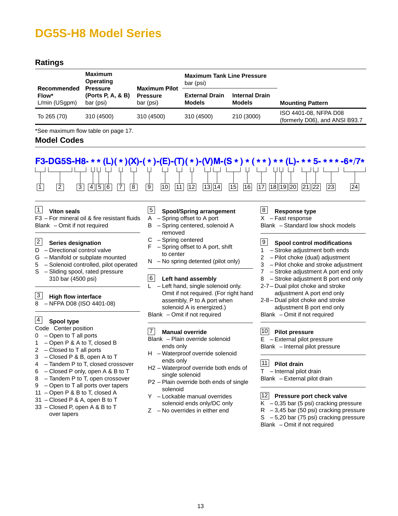# <span id="page-12-0"></span>**Ratings**

| <b>Maximum</b><br><b>Operating</b>    |                                                   | <b>Maximum Pilot</b>         | <b>Maximum Tank Line Pressure</b><br>bar (psi) |                                        |                                                         |
|---------------------------------------|---------------------------------------------------|------------------------------|------------------------------------------------|----------------------------------------|---------------------------------------------------------|
| Recommended<br>Flow*<br>L/min (USgpm) | <b>Pressure</b><br>(Ports P, A, & B)<br>bar (psi) | <b>Pressure</b><br>bar (psi) | <b>External Drain</b><br><b>Models</b>         | <b>Internal Drain</b><br><b>Models</b> | <b>Mounting Pattern</b>                                 |
| To 265 (70)                           | 310 (4500)                                        | 310 (4500)                   | 310 (4500)                                     | 210 (3000)                             | ISO 4401-08, NFPA D08<br>(formerly D06), and ANSI B93.7 |

\*See maximum flow table on page 17.

# **Model Codes**



#### **Viton seals**  $|1|$

F3 – For mineral oil & fire resistant fluids Blank – Omit if not required

#### **Series designation** 2

- D Directional control valve
- G Manifold or subplate mounted
- 5 Solenoid controlled, pilot operated S – Sliding spool, rated pressure
- 310 bar (4500 psi)

#### **High flow interface** 3

8 – NFPA D08 (ISO 4401-08)

#### **Spool type** 4

- Code Center position
- 0 Open to T all ports
- 1 Open P & A to T, closed B
- 2 Closed to T all ports
- 3 Closed P & B, open A to T
- 4 Tandem P to T, closed crossover
- 6 Closed P only, open A & B to T
- 8 Tandem P to T, open crossover
- 9 Open to T all ports over tapers
- 11 Open P & B to T, closed A
- 31 Closed P & A, open B to T
- 33 Closed P, open A & B to T over tapers

#### **Spool/Spring arrangement** 5

- A Spring offset to A port
- B Spring centered, solenoid A removed
- C Spring centered
- F Spring offset to A port, shift to center
- N No spring detented (pilot only)

#### **Left hand assembly**  $|6|$

L – Left hand, single solenoid only. Omit if not required. (For right hand assembly, P to A port when solenoid A is energized.) Blank – Omit if not required

#### **Manual override** 7

- Blank Plain override solenoid ends only
- H Waterproof override solenoid ends only
- H2 Waterproof override both ends of single solenoid
- P2 Plain override both ends of single solenoid
- Y Lockable manual overrides solenoid ends only/DC only
- Z No overrides in either end

## **Response type**

- X Fast response
- Blank Standard low shock models

#### **Spool control modifications**  $|9|$

- 1 Stroke adjustment both ends
- 2 Pilot choke (dual) adjustment
- 3 Pilot choke and stroke adjustment
- 7 Stroke adjustment A port end only
- 8 Stroke adjustment B port end only
- 2-7 Dual pilot choke and stroke adjustment A port end only
- 2-8 Dual pilot choke and stroke adjustment B port end only
- Blank Omit if not required

### **Pilot pressure** 10

E – External pilot pressure

Blank – Internal pilot pressure

## **Pilot drain** 11

- Internal pilot drain

Blank – External pilot drain

### **Pressure port check valve** 12

- $K 0,35$  bar (5 psi) cracking pressure
- $R 3,45$  bar (50 psi) cracking pressure
- S 5,20 bar (75 psi) cracking pressure
- Blank Omit if not required

8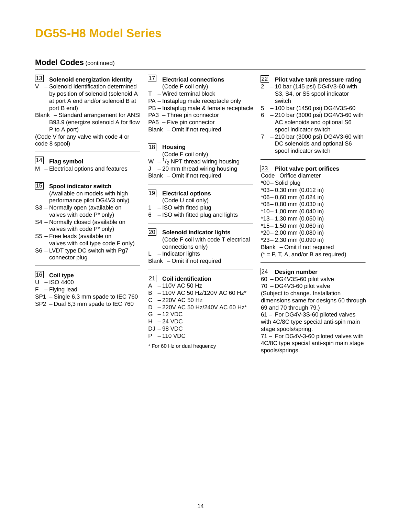# **Model Codes** (continued)

- 13 Solenoid energization identity
- V Solenoid identification determined by position of solenoid (solenoid A at port A end and/or solenoid B at port B end)
- Blank Standard arrangement for ANSI B93.9 (energize solenoid A for flow P to A port)

(Code V for any valve with code 4 or code 8 spool)

### **Flag symbol** 14

M – Electrical options and features

- **Spool indicator switch** 15 (Available on models with high performance pilot DG4V3 only)
- S3 Normally open (available on valves with code P\* only)
- S4 Normally closed (available on valves with code P\* only)
- S5 Free leads (available on valves with coil type code F only)
- S6 LVDT type DC switch with Pg7 connector plug

## 16 Coil type

- $U ISO 4400$
- $F Flying lead$
- SP1 Single 6,3 mm spade to IEC 760
- SP2 Dual 6,3 mm spade to IEC 760

### **Electrical connections** 17

- (Code F coil only)
- T Wired terminal block
- PA Instaplug male receptacle only
- PB Instaplug male & female receptacle
- PA3 Three pin connector
- PA5 Five pin connector
- Blank Omit if not required

### **Housing** 18

- (Code F coil only)
- $W 1/2$  NPT thread wiring housing
- J 20 mm thread wiring housing
- Blank Omit if not required

#### **Electrical options** (Code U coil only)  $\overline{19}$

- 
- 1 ISO with fitted plug 6 – ISO with fitted plug and lights
- 

#### **Solenoid indicator lights** 20

- (Code F coil with code T electrical connections only)  $L$  – Indicator lights
- 
- Blank Omit if not required

### **Coil identification** 21

- A 110V AC 50 Hz
- B 110V AC 50 Hz/120V AC 60 Hz\*
- C 220V AC 50 Hz
- D 220V AC 50 Hz/240V AC 60 Hz\*
- $G 12$  VDC
- $H 24$  VDC
- DJ 98 VDC
- P 110 VDC

\* For 60 Hz or dual frequency

#### **Pilot valve tank pressure rating** 22

- 2 10 bar (145 psi) DG4V3-60 with S3, S4, or S5 spool indicator switch
- 5 100 bar (1450 psi) DG4V3S-60
- 6 210 bar (3000 psi) DG4V3-60 with AC solenoids and optional S6 spool indicator switch
- 7 210 bar (3000 psi) DG4V3-60 with DC solenoids and optional S6 spool indicator switch

### **Pilot valve port orifices** 23

Code Orifice diameter \*00– Solid plug \*03– 0,30 mm (0.012 in) \*06– 0,60 mm (0.024 in) \*08– 0,80 mm (0.030 in) \*10– 1,00 mm (0.040 in) \*13– 1,30 mm (0.050 in) \*15– 1,50 mm (0.060 in) \*20– 2,00 mm (0.080 in) \*23– 2,30 mm (0.090 in) Blank – Omit if not required  $(* = P, T, A, and/or B as required)$ 

#### **Design number** 24

60 – DG4V3S-60 pilot valve 70 – DG4V3-60 pilot valve (Subject to change. Installation dimensions same for designs 60 through 69 and 70 through 79.) 61 – For DG4V-3S-60 piloted valves with 4C/8C type special anti-spin main

stage spools/spring. 71 – For DG4V-3-60 piloted valves with 4C/8C type special anti-spin main stage spools/springs.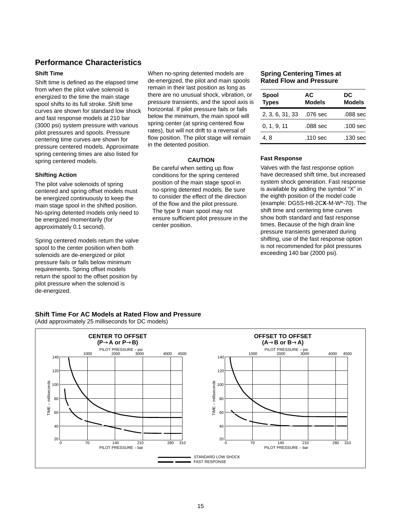# **Performance Characteristics**

### **Shift Time**

Shift time is defined as the elapsed time from when the pilot valve solenoid is energized to the time the main stage spool shifts to its full stroke. Shift time curves are shown for standard low shock and fast response models at 210 bar (3000 psi) system pressure with various pilot pressures and spools. Pressure centering time curves are shown for pressure centered models. Approximate spring centering times are also listed for spring centered models.

### **Shifting Action**

The pilot valve solenoids of spring centered and spring offset models must be energized continuously to keep the main stage spool in the shifted position. No-spring detented models only need to be energized momentarily (for approximately 0.1 second).

Spring centered models return the valve spool to the center position when both solenoids are de-energized or pilot pressure fails or falls below minimum requirements. Spring offset models return the spool to the offset position by pilot pressure when the solenoid is de-energized.

When no-spring detented models are de-energized, the pilot and main spools remain in their last position as long as there are no unusual shock, vibration, or pressure transients, and the spool axis is horizontal. If pilot pressure fails or falls below the minimum, the main spool will spring center (at spring centered flow rates), but will not drift to a reversal of flow position. The pilot stage will remain in the detented position.

### **CAUTION**

Be careful when setting up flow conditions for the spring centered position of the main stage spool in no-spring detented models. Be sure to consider the effect of the direction of the flow and the pilot pressure. The type 9 main spool may not ensure sufficient pilot pressure in the center position.

### **Spring Centering Times at Rated Flow and Pressure**

| <b>Spool</b><br><b>Types</b> | AC.<br><b>Models</b> | DC<br><b>Models</b> |
|------------------------------|----------------------|---------------------|
| 2, 3, 6, 31, 33              | .076 sec             | .088 sec            |
| 0, 1, 9, 11                  | .088 sec             | .100 sec            |
| 4.8                          | .110 sec             | .130 sec            |

### **Fast Response**

Valves with the fast response option have decreased shift time, but increased system shock generation. Fast response is available by adding the symbol "X" in the eighth position of the model code (example: DG5S-H8-2C**X**-M-W\*-70). The shift time and centering time curves show both standard and fast response times. Because of the high drain line pressure transients generated during shifting, use of the fast response option is not recommended for pilot pressures exceeding 140 bar (2000 psi).

### **Shift Time For AC Models at Rated Flow and Pressure**

(Add approximately 25 milliseconds for DC models)

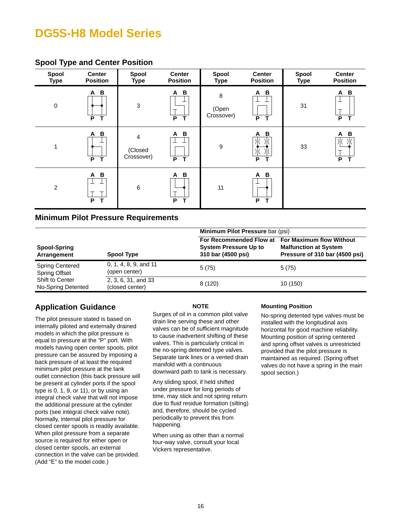# **Spool Type and Center Position**

| Spool<br><b>Type</b> | <b>Center</b><br><b>Position</b>       | Spool<br><b>Type</b>       | <b>Center</b><br><b>Position</b>       | Spool<br><b>Type</b>     | <b>Center</b><br><b>Position</b> | Spool<br><b>Type</b> | <b>Center</b><br><b>Position</b> |
|----------------------|----------------------------------------|----------------------------|----------------------------------------|--------------------------|----------------------------------|----------------------|----------------------------------|
| $\mathbf 0$          | B<br>A<br>$\overline{\mathsf{r}}$<br>P | $\sqrt{3}$                 | B<br>A<br>P<br>т                       | 8<br>(Open<br>Crossover) | $\, {\bf B}$<br>Α<br>P<br>T      | 31                   | B<br>A<br>P                      |
| 1                    | B<br>A<br>P<br>T                       | 4<br>(Closed<br>Crossover) | B<br>$\mathsf{A}$<br>P<br>$\mathbf{T}$ | $\boldsymbol{9}$         | B<br>Α<br>P                      | 33                   | A B<br>P<br>т                    |
| $\overline{2}$       | B<br>Α<br>ᆂ<br>P<br>Т                  | $\,6$                      | B<br>A<br>P<br>т                       | 11                       | B<br>A<br>ᅩ<br>P<br>т            |                      |                                  |

# **Minimum Pilot Pressure Requirements**

|                                                |                                        | Minimum Pilot Pressure bar (psi)                   |                                                                                                                    |  |
|------------------------------------------------|----------------------------------------|----------------------------------------------------|--------------------------------------------------------------------------------------------------------------------|--|
| Spool-Spring<br>Arrangement                    | <b>Spool Type</b>                      | <b>System Pressure Up to</b><br>310 bar (4500 psi) | For Recommended Flow at For Maximum flow Without<br><b>Malfunction at System</b><br>Pressure of 310 bar (4500 psi) |  |
| <b>Spring Centered</b><br><b>Spring Offset</b> | 0, 1, 4, 8, 9, and 11<br>(open center) | 5(75)                                              | 5(75)                                                                                                              |  |
| <b>Shift to Center</b><br>No-Spring Detented   | 2, 3, 6, 31, and 33<br>(closed center) | 8(120)                                             | 10 (150)                                                                                                           |  |

# **Application Guidance**

The pilot pressure stated is based on internally piloted and externally drained models in which the pilot pressure is equal to pressure at the "P" port. With models having open center spools, pilot pressure can be assured by imposing a back pressure of at least the required minimum pilot pressure at the tank outlet connection (this back pressure will be present at cylinder ports if the spool type is 0, 1, 9, or 11), or by using an integral check valve that will not impose the additional pressure at the cylinder ports (see integral check valve note). Normally, internal pilot pressure for closed center spools is readily available. When pilot pressure from a separate source is required for either open or closed center spools, an external connection in the valve can be provided. (Add "E" to the model code.)

## **NOTE**

Surges of oil in a common pilot valve drain line serving these and other valves can be of sufficient magnitude to cause inadvertent shifting of these valves. This is particularly critical in the no-spring detented type valves. Separate tank lines or a vented drain manifold with a continuous downward path to tank is necessary.

Any sliding spool, if held shifted under pressure for long periods of time, may stick and not spring return due to fluid residue formation (silting) and, therefore, should be cycled periodically to prevent this from happening.

When using as other than a normal four-way valve, consult your local Vickers representative.

## **Mounting Position**

No-spring detented type valves must be installed with the longitudinal axis horizontal for good machine reliability. Mounting position of spring centered and spring offset valves is unrestricted provided that the pilot pressure is maintained as required. (Spring offset valves do not have a spring in the main spool section.)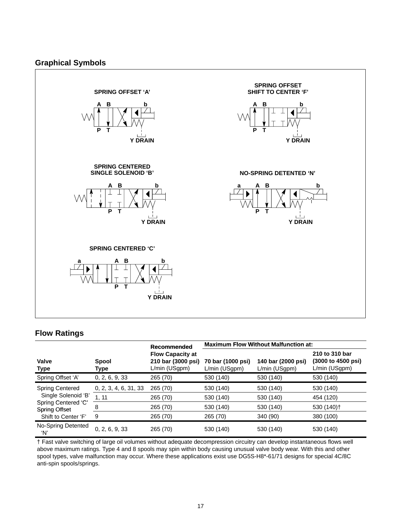# **Graphical Symbols**



# **Flow Ratings**

|                                             |                       | Recommended                                                    | <b>Maximum Flow Without Malfunction at:</b> |                                     |                                                       |  |
|---------------------------------------------|-----------------------|----------------------------------------------------------------|---------------------------------------------|-------------------------------------|-------------------------------------------------------|--|
| <b>Valve</b><br><b>Type</b>                 | Spool<br>Type         | <b>Flow Capacity at</b><br>210 bar (3000 psi)<br>L/min (USgpm) | 70 bar (1000 psi)<br>L/min (USgpm)          | 140 bar (2000 psi)<br>L/min (USgpm) | 210 to 310 bar<br>(3000 to 4500 psi)<br>L/min (USgpm) |  |
| Spring Offset 'A'                           | 0, 2, 6, 9, 33        | 265 (70)                                                       | 530 (140)                                   | 530 (140)                           | 530 (140)                                             |  |
| <b>Spring Centered</b>                      | 0, 2, 3, 4, 6, 31, 33 | 265 (70)                                                       | 530 (140)                                   | 530 (140)                           | 530 (140)                                             |  |
| Single Solenoid 'B'                         | 1, 11                 | 265 (70)                                                       | 530 (140)                                   | 530 (140)                           | 454 (120)                                             |  |
| Spring Centered 'C'<br><b>Spring Offset</b> | 8                     | 265 (70)                                                       | 530 (140)                                   | 530 (140)                           | 530 (140) <sup>+</sup>                                |  |
| Shift to Center 'F'                         | 9                     | 265 (70)                                                       | 265 (70)                                    | 340 (90)                            | 380 (100)                                             |  |
| No-Spring Detented<br>ʻN'                   | 0, 2, 6, 9, 33        | 265 (70)                                                       | 530 (140)                                   | 530 (140)                           | 530 (140)                                             |  |

† Fast valve switching of large oil volumes without adequate decompression circuitry can develop instantaneous flows well above maximum ratings. Type 4 and 8 spools may spin within body causing unusual valve body wear. With this and other spool types, valve malfunction may occur. Where these applications exist use DG5S-H8\*-61/71 designs for special 4C/8C anti-spin spools/springs.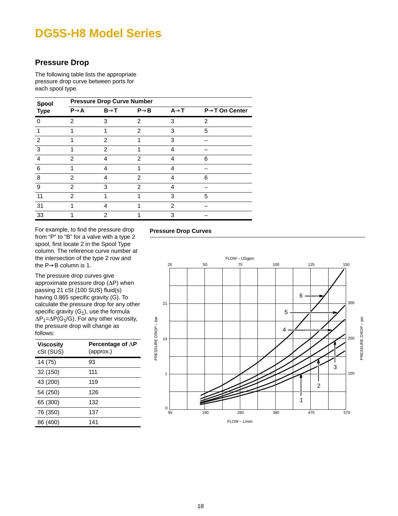# **Pressure Drop**

The following table lists the appropriate pressure drop curve between ports for each spool type.

| Spool        | <b>Pressure Drop Curve Number</b> |                  |                   |                   |                            |  |
|--------------|-----------------------------------|------------------|-------------------|-------------------|----------------------------|--|
| <b>Type</b>  | $P \rightarrow A$                 | $B\rightarrow T$ | $P \rightarrow B$ | $A \rightarrow T$ | $P\rightarrow T$ On Center |  |
| $\mathbf{I}$ | 2                                 | 3                | $\mathfrak{p}$    | 3                 | 2                          |  |
|              |                                   |                  | $\mathfrak{p}$    | 3                 | 5                          |  |
| 2            |                                   | 2                |                   | 3                 |                            |  |
| 3            |                                   | 2                |                   | 4                 |                            |  |
| 4            | 2                                 | 4                | 2                 | 4                 | 6                          |  |
| 6            |                                   | 4                |                   |                   |                            |  |
| 8            | 2                                 | 4                | 2                 |                   | 6                          |  |
| 9            | $\mathcal{P}$                     | 3                | $\mathfrak{p}$    | 4                 |                            |  |
| 11           | $\overline{2}$                    |                  |                   | 3                 | 5                          |  |
| 31           |                                   | 4                |                   | 2                 |                            |  |
| 33           |                                   | 2                |                   | 3                 |                            |  |

For example, to find the pressure drop from "P" to "B" for a valve with a type 2 spool, first locate 2 in the Spool Type column. The reference curve number at the intersection of the type 2 row and the P→B column is 1.

The pressure drop curves give approximate pressure drop  $(\Delta P)$  when passing 21 cSt (100 SUS) fluid(s) having 0.865 specific gravity (G). To calculate the pressure drop for any other specific gravity  $(G_1)$ , use the formula  $\Delta P_1 = \Delta P(G_1/G)$ . For any other viscosity, the pressure drop will change as follows:

| Viscosity<br>cSt (SUS) | Percentage of $\Delta P$<br>(approx.) |  |
|------------------------|---------------------------------------|--|
| 14 (75)                | 93                                    |  |
| 32 (150)               | 111                                   |  |
| 43 (200)               | 119                                   |  |
| 54 (250)               | 126                                   |  |
| 65 (300)               | 132                                   |  |
| 76 (350)               | 137                                   |  |
| 86 (400)               | 141                                   |  |

# **Pressure Drop Curves**

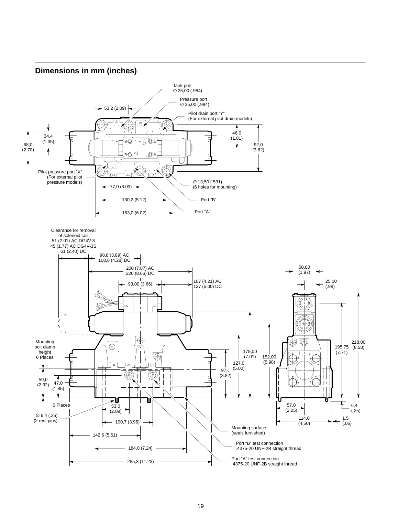# **Dimensions in mm (inches)**

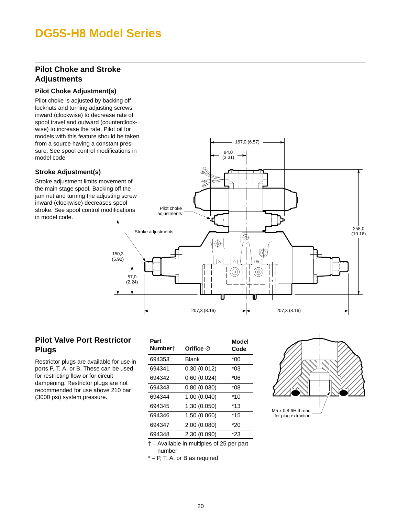# **Pilot Choke and Stroke Adjustments**

## **Pilot Choke Adjustment(s)**

Pilot choke is adjusted by backing off locknuts and turning adjusting screws inward (clockwise) to decrease rate of spool travel and outward (counterclockwise) to increase the rate. Pilot oil for models with this feature should be taken from a source having a constant pressure. See spool control modifications in model code

# **Stroke Adjustment(s)**

Stroke adjustment limits movement of the main stage spool. Backing off the jam nut and turning the adjusting screw inward (clockwise) decreases spool stroke. See spool control modifications in model code.



# **Pilot Valve Port Restrictor Plugs**

Restrictor plugs are available for use in ports P, T, A, or B. These can be used for restricting flow or for circuit dampening. Restrictor plugs are not recommended for use above 210 bar (3000 psi) system pressure.

| Part<br>Number† | Orifice $\varnothing$ | Model<br>Code |
|-----------------|-----------------------|---------------|
| 694353          | Blank                 | *00           |
| 694341          | 0,30(0.012)           | *03           |
| 694342          | 0,60(0.024)           | *06           |
| 694343          | 0,80(0.030)           | *08           |
| 694344          | 1,00 (0.040)          | $*10$         |
| 694345          | 1,30 (0.050)          | *13           |
| 694346          | 1,50 (0.060)          | $*15$         |
| 694347          | 2,00 (0.080)          | *20           |
| 694348          | 2,30 (0.090)          | *23           |



– Available in multiples of 25 per part

number

\* – P, T, A, or B as required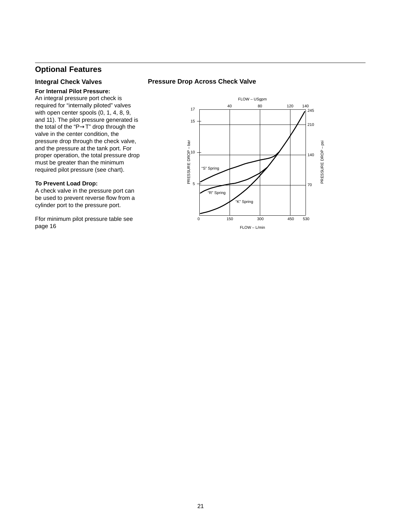# **Optional Features**

## **Integral Check Valves**

### **For Internal Pilot Pressure:**

An integral pressure port check is required for "internally piloted" valves with open center spools (0, 1, 4, 8, 9, and 11). The pilot pressure generated is the total of the "P→T" drop through the valve in the center condition, the pressure drop through the check valve, and the pressure at the tank port. For proper operation, the total pressure drop must be greater than the minimum required pilot pressure (see chart).

### **To Prevent Load Drop:**

A check valve in the pressure port can be used to prevent reverse flow from a cylinder port to the pressure port.

Ffor minimum pilot pressure table see page 16

## **Pressure Drop Across Check Valve**

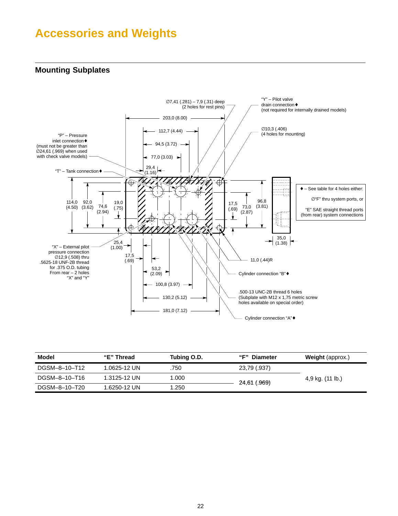# <span id="page-21-0"></span>**Accessories and Weights**

# **Mounting Subplates**



| Model         | "E" Thread   | Tubing O.D. | "F" Diameter | <b>Weight</b> (approx.) |
|---------------|--------------|-------------|--------------|-------------------------|
| DGSM-8-10-T12 | 1.0625-12 UN | .750        | 23,79 (.937) |                         |
| DGSM-8-10-T16 | 1.3125-12 UN | 1.000       |              | 4,9 kg. (11 lb.)        |
| DGSM-8-10-T20 | 1.6250-12 UN | 1.250       | 24,61 (.969) |                         |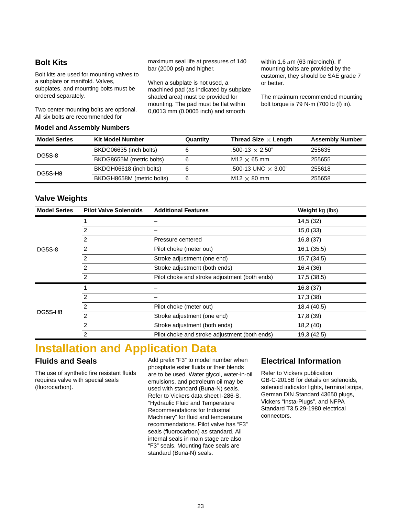# **Bolt Kits**

Bolt kits are used for mounting valves to a subplate or manifold. Valves, subplates, and mounting bolts must be ordered separately.

Two center mounting bolts are optional. All six bolts are recommended for

### **Model and Assembly Numbers**

maximum seal life at pressures of 140 bar (2000 psi) and higher.

When a subplate is not used, a machined pad (as indicated by subplate shaded area) must be provided for mounting. The pad must be flat within 0,0013 mm (0.0005 inch) and smooth

within 1,6  $\mu$ m (63 microinch). If mounting bolts are provided by the customer, they should be SAE grade 7 or better.

The maximum recommended mounting bolt torque is 79 N-m (700 lb (f) in).

| <b>Model Series</b> | <b>Kit Model Number</b>   | Quantity | Thread Size $\times$ Length | <b>Assembly Number</b> |
|---------------------|---------------------------|----------|-----------------------------|------------------------|
| <b>DG5S-8</b>       | BKDG06635 (inch bolts)    |          | $.500-13 \times 2.50"$      | 255635                 |
|                     | BKDG8655M (metric bolts)  |          | $M12 \times 65$ mm          | 255655                 |
| DG5S-H8             | BKDGH06618 (inch bolts)   |          | .500-13 UNC $\times$ 3.00"  | 255618                 |
|                     | BKDGH8658M (metric bolts) | 6        | $M12 \times 80$ mm          | 255658                 |

# **Valve Weights**

| <b>Model Series</b> | <b>Pilot Valve Solenoids</b><br><b>Additional Features</b> |                                               | Weight kg (lbs) |
|---------------------|------------------------------------------------------------|-----------------------------------------------|-----------------|
|                     |                                                            |                                               | 14,5 (32)       |
|                     | 2                                                          |                                               | 15,0(33)        |
|                     | 2                                                          | Pressure centered                             | 16,8 (37)       |
| <b>DG5S-8</b>       | $\overline{2}$                                             | Pilot choke (meter out)                       | 16,1 (35.5)     |
|                     | $\overline{2}$                                             | Stroke adjustment (one end)                   | 15,7 (34.5)     |
|                     | $\overline{2}$                                             | Stroke adjustment (both ends)                 | 16,4 (36)       |
|                     | 2                                                          | Pilot choke and stroke adjustment (both ends) | 17,5 (38.5)     |
|                     |                                                            |                                               | 16,8 (37)       |
|                     | $\mathcal{P}$                                              |                                               | 17,3(38)        |
|                     | $\overline{2}$                                             | Pilot choke (meter out)                       | 18,4 (40.5)     |
| DG5S-H8             | $\mathfrak{p}$                                             | Stroke adjustment (one end)                   | 17,8 (39)       |
|                     | $\overline{2}$                                             | Stroke adjustment (both ends)                 | 18,2 (40)       |
|                     | 2                                                          | Pilot choke and stroke adjustment (both ends) | 19,3 (42.5)     |

# **Installation and Application Data**

# **Fluids and Seals**

The use of synthetic fire resistant fluids requires valve with special seals (fluorocarbon).

Add prefix "F3" to model number when phosphate ester fluids or their blends are to be used. Water glycol, water-in-oil emulsions, and petroleum oil may be used with standard (Buna-N) seals. Refer to Vickers data sheet I-286-S, "Hydraulic Fluid and Temperature Recommendations for Industrial Machinery" for fluid and temperature recommendations. Pilot valve has "F3" seals (fluorocarbon) as standard. All internal seals in main stage are also "F3" seals. Mounting face seals are standard (Buna-N) seals.

# **Electrical Information**

Refer to Vickers publication GB-C-2015B for details on solenoids, solenoid indicator lights, terminal strips, German DIN Standard 43650 plugs, Vickers "Insta-Plugs", and NFPA Standard T3.5.29-1980 electrical connectors.